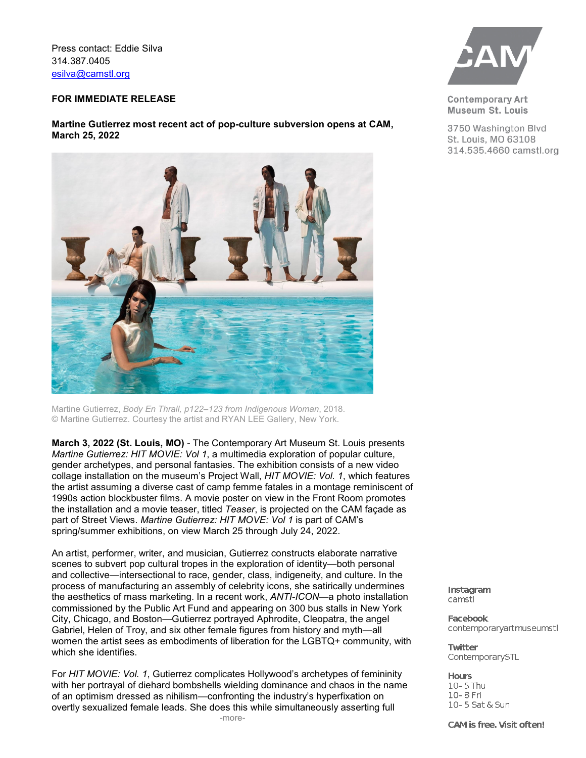Press contact: Eddie Silva 314.387.0405 [esilva@camstl.org](mailto:esilva@camstl.org)

### **FOR IMMEDIATE RELEASE**

# **Martine Gutierrez most recent act of pop-culture subversion opens at CAM, March 25, 2022**



Martine Gutierrez, *Body En Thrall, p122–123 from Indigenous Woman*, 2018. © Martine Gutierrez. Courtesy the artist and RYAN LEE Gallery, New York.

**March 3, 2022 (St. Louis, MO)** - The Contemporary Art Museum St. Louis presents *Martine Gutierrez: HIT MOVIE: Vol 1*, a multimedia exploration of popular culture, gender archetypes, and personal fantasies. The exhibition consists of a new video collage installation on the museum's Project Wall, *HIT MOVIE: Vol. 1*, which features the artist assuming a diverse cast of camp femme fatales in a montage reminiscent of 1990s action blockbuster films. A movie poster on view in the Front Room promotes the installation and a movie teaser, titled *Teaser*, is projected on the CAM façade as part of Street Views. *Martine Gutierrez: HIT MOVE: Vol 1* is part of CAM's spring/summer exhibitions, on view March 25 through July 24, 2022.

An artist, performer, writer, and musician, Gutierrez constructs elaborate narrative scenes to subvert pop cultural tropes in the exploration of identity—both personal and collective—intersectional to race, gender, class, indigeneity, and culture. In the process of manufacturing an assembly of celebrity icons, she satirically undermines the aesthetics of mass marketing. In a recent work, *ANTI-ICON*—a photo installation commissioned by the Public Art Fund and appearing on 300 bus stalls in New York City, Chicago, and Boston—Gutierrez portrayed Aphrodite, Cleopatra, the angel Gabriel, Helen of Troy, and six other female figures from history and myth—all women the artist sees as embodiments of liberation for the LGBTQ+ community, with which she identifies.

For *HIT MOVIE: Vol. 1*, Gutierrez complicates Hollywood's archetypes of femininity with her portrayal of diehard bombshells wielding dominance and chaos in the name of an optimism dressed as nihilism—confronting the industry's hyperfixation on overtly sexualized female leads. She does this while simultaneously asserting full



**Contemporary Art** Museum St. Louis

3750 Washington Blvd St. Louis, MO 63108 314.535.4660 camstl.org

Instagram camstl

**Facebook** contemporaryartmuseumstl

**Twitter** ContemporarySTL

**Hours** 10-5 Thu 10-8 Fri 10-5 Sat & Sun

CAM is free. Visit often!